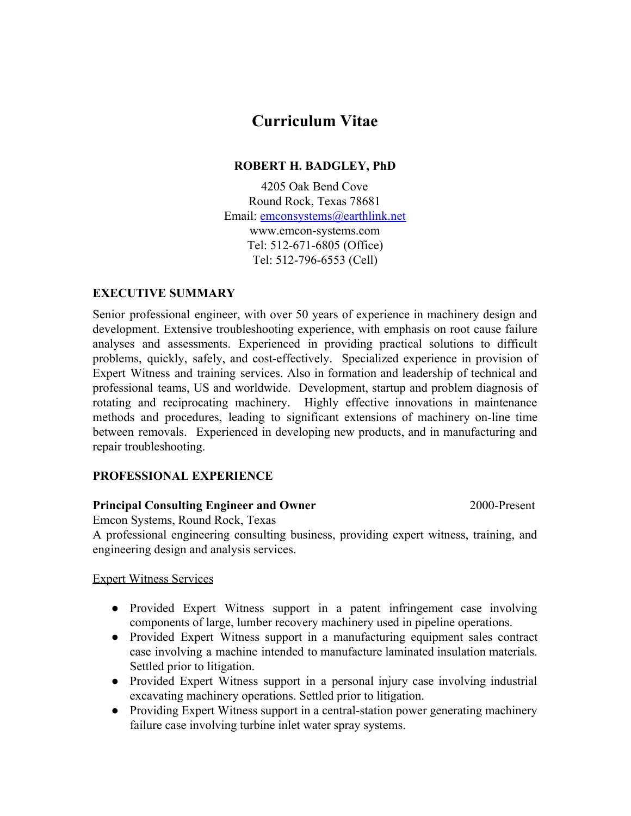# **Curriculum Vitae**

### **ROBERT H. BADGLEY, PhD**

4205 Oak Bend Cove Round Rock, Texas 78681 Email: [emconsystems@earthlink.net](mailto:emconsystems@earthlink.net) www.emcon-systems.com Tel: 512-671-6805 (Office) Tel: 512-796-6553 (Cell)

#### **EXECUTIVE SUMMARY**

Senior professional engineer, with over 50 years of experience in machinery design and development. Extensive troubleshooting experience, with emphasis on root cause failure analyses and assessments. Experienced in providing practical solutions to difficult problems, quickly, safely, and cost-effectively. Specialized experience in provision of Expert Witness and training services. Also in formation and leadership of technical and professional teams, US and worldwide. Development, startup and problem diagnosis of rotating and reciprocating machinery. Highly effective innovations in maintenance methods and procedures, leading to significant extensions of machinery on-line time between removals. Experienced in developing new products, and in manufacturing and repair troubleshooting.

#### **PROFESSIONAL EXPERIENCE**

#### **Principal Consulting Engineer and Owner** 2000-Present

Emcon Systems, Round Rock, Texas

A professional engineering consulting business, providing expert witness, training, and engineering design and analysis services.

#### Expert Witness Services

- Provided Expert Witness support in a patent infringement case involving components of large, lumber recovery machinery used in pipeline operations.
- Provided Expert Witness support in a manufacturing equipment sales contract case involving a machine intended to manufacture laminated insulation materials. Settled prior to litigation.
- Provided Expert Witness support in a personal injury case involving industrial excavating machinery operations. Settled prior to litigation.
- Providing Expert Witness support in a central-station power generating machinery failure case involving turbine inlet water spray systems.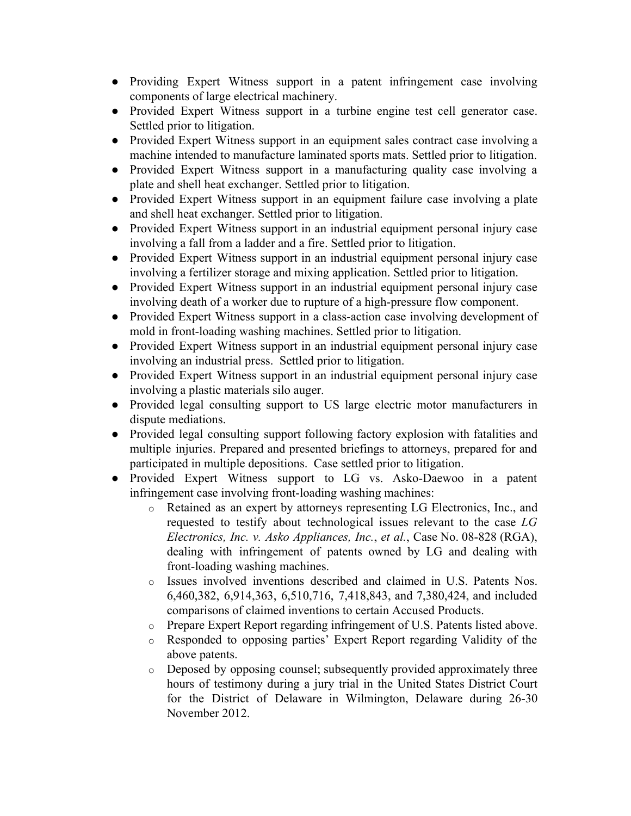- Providing Expert Witness support in a patent infringement case involving components of large electrical machinery.
- Provided Expert Witness support in a turbine engine test cell generator case. Settled prior to litigation.
- Provided Expert Witness support in an equipment sales contract case involving a machine intended to manufacture laminated sports mats. Settled prior to litigation.
- Provided Expert Witness support in a manufacturing quality case involving a plate and shell heat exchanger. Settled prior to litigation.
- Provided Expert Witness support in an equipment failure case involving a plate and shell heat exchanger. Settled prior to litigation.
- Provided Expert Witness support in an industrial equipment personal injury case involving a fall from a ladder and a fire. Settled prior to litigation.
- Provided Expert Witness support in an industrial equipment personal injury case involving a fertilizer storage and mixing application. Settled prior to litigation.
- Provided Expert Witness support in an industrial equipment personal injury case involving death of a worker due to rupture of a high-pressure flow component.
- Provided Expert Witness support in a class-action case involving development of mold in front-loading washing machines. Settled prior to litigation.
- Provided Expert Witness support in an industrial equipment personal injury case involving an industrial press. Settled prior to litigation.
- Provided Expert Witness support in an industrial equipment personal injury case involving a plastic materials silo auger.
- Provided legal consulting support to US large electric motor manufacturers in dispute mediations.
- Provided legal consulting support following factory explosion with fatalities and multiple injuries. Prepared and presented briefings to attorneys, prepared for and participated in multiple depositions. Case settled prior to litigation.
- Provided Expert Witness support to LG vs. Asko-Daewoo in a patent infringement case involving front-loading washing machines:
	- o Retained as an expert by attorneys representing LG Electronics, Inc., and requested to testify about technological issues relevant to the case *LG Electronics, Inc. v. Asko Appliances, Inc.*, *et al.*, Case No. 08-828 (RGA), dealing with infringement of patents owned by LG and dealing with front-loading washing machines.
	- o Issues involved inventions described and claimed in U.S. Patents Nos. 6,460,382, 6,914,363, 6,510,716, 7,418,843, and 7,380,424, and included comparisons of claimed inventions to certain Accused Products.
	- o Prepare Expert Report regarding infringement of U.S. Patents listed above.
	- o Responded to opposing parties' Expert Report regarding Validity of the above patents.
	- o Deposed by opposing counsel; subsequently provided approximately three hours of testimony during a jury trial in the United States District Court for the District of Delaware in Wilmington, Delaware during 26-30 November 2012.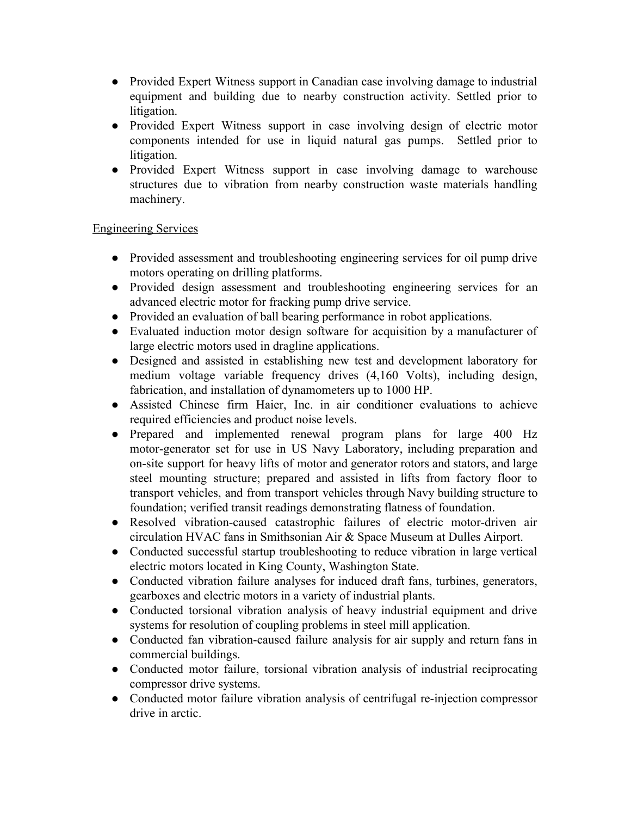- Provided Expert Witness support in Canadian case involving damage to industrial equipment and building due to nearby construction activity. Settled prior to litigation.
- Provided Expert Witness support in case involving design of electric motor components intended for use in liquid natural gas pumps. Settled prior to litigation.
- Provided Expert Witness support in case involving damage to warehouse structures due to vibration from nearby construction waste materials handling machinery.

#### Engineering Services

- Provided assessment and troubleshooting engineering services for oil pump drive motors operating on drilling platforms.
- Provided design assessment and troubleshooting engineering services for an advanced electric motor for fracking pump drive service.
- Provided an evaluation of ball bearing performance in robot applications.
- Evaluated induction motor design software for acquisition by a manufacturer of large electric motors used in dragline applications.
- Designed and assisted in establishing new test and development laboratory for medium voltage variable frequency drives (4,160 Volts), including design, fabrication, and installation of dynamometers up to 1000 HP.
- Assisted Chinese firm Haier, Inc. in air conditioner evaluations to achieve required efficiencies and product noise levels.
- Prepared and implemented renewal program plans for large 400 Hz motor-generator set for use in US Navy Laboratory, including preparation and on-site support for heavy lifts of motor and generator rotors and stators, and large steel mounting structure; prepared and assisted in lifts from factory floor to transport vehicles, and from transport vehicles through Navy building structure to foundation; verified transit readings demonstrating flatness of foundation.
- Resolved vibration-caused catastrophic failures of electric motor-driven air circulation HVAC fans in Smithsonian Air & Space Museum at Dulles Airport.
- Conducted successful startup troubleshooting to reduce vibration in large vertical electric motors located in King County, Washington State.
- Conducted vibration failure analyses for induced draft fans, turbines, generators, gearboxes and electric motors in a variety of industrial plants.
- Conducted torsional vibration analysis of heavy industrial equipment and drive systems for resolution of coupling problems in steel mill application.
- Conducted fan vibration-caused failure analysis for air supply and return fans in commercial buildings.
- Conducted motor failure, torsional vibration analysis of industrial reciprocating compressor drive systems.
- Conducted motor failure vibration analysis of centrifugal re-injection compressor drive in arctic.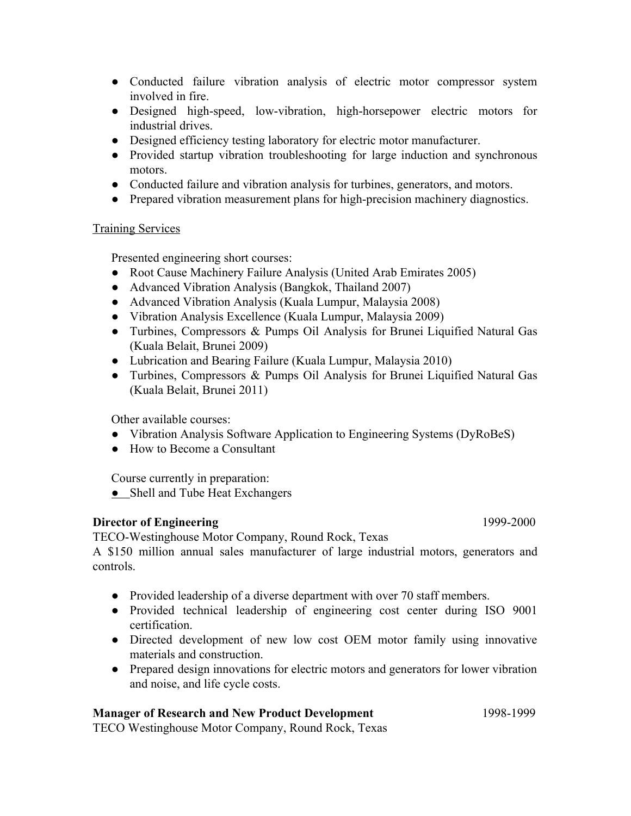- Conducted failure vibration analysis of electric motor compressor system involved in fire.
- Designed high-speed, low-vibration, high-horsepower electric motors for industrial drives.
- Designed efficiency testing laboratory for electric motor manufacturer.
- Provided startup vibration troubleshooting for large induction and synchronous motors.
- Conducted failure and vibration analysis for turbines, generators, and motors.
- Prepared vibration measurement plans for high-precision machinery diagnostics.

#### Training Services

Presented engineering short courses:

- Root Cause Machinery Failure Analysis (United Arab Emirates 2005)
- Advanced Vibration Analysis (Bangkok, Thailand 2007)
- Advanced Vibration Analysis (Kuala Lumpur, Malaysia 2008)
- Vibration Analysis Excellence (Kuala Lumpur, Malaysia 2009)
- Turbines, Compressors & Pumps Oil Analysis for Brunei Liquified Natural Gas (Kuala Belait, Brunei 2009)
- Lubrication and Bearing Failure (Kuala Lumpur, Malaysia 2010)
- Turbines, Compressors & Pumps Oil Analysis for Brunei Liquified Natural Gas (Kuala Belait, Brunei 2011)

Other available courses:

- Vibration Analysis Software Application to Engineering Systems (DyRoBeS)
- How to Become a Consultant

Course currently in preparation:

• Shell and Tube Heat Exchangers

#### **Director of Engineering** 1999-2000

TECO-Westinghouse Motor Company, Round Rock, Texas

A \$150 million annual sales manufacturer of large industrial motors, generators and controls.

- Provided leadership of a diverse department with over 70 staff members.
- Provided technical leadership of engineering cost center during ISO 9001 certification.
- Directed development of new low cost OEM motor family using innovative materials and construction.
- Prepared design innovations for electric motors and generators for lower vibration and noise, and life cycle costs.

#### **Manager of Research and New Product Development** 1998-1999

TECO Westinghouse Motor Company, Round Rock, Texas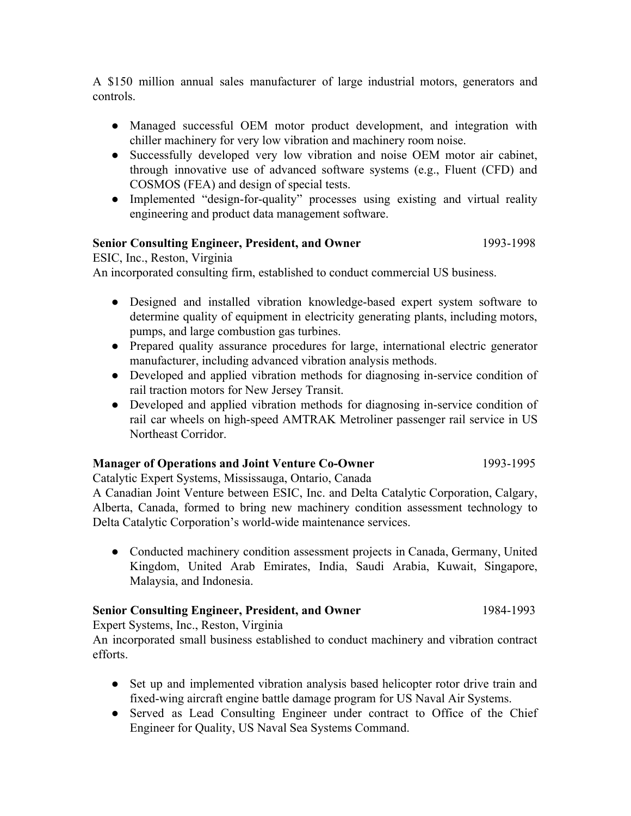A \$150 million annual sales manufacturer of large industrial motors, generators and controls.

- Managed successful OEM motor product development, and integration with chiller machinery for very low vibration and machinery room noise.
- Successfully developed very low vibration and noise OEM motor air cabinet, through innovative use of advanced software systems (e.g., Fluent (CFD) and COSMOS (FEA) and design of special tests.
- Implemented "design-for-quality" processes using existing and virtual reality engineering and product data management software.

#### **Senior Consulting Engineer, President, and Owner** 1993-1998

ESIC, Inc., Reston, Virginia

An incorporated consulting firm, established to conduct commercial US business.

- Designed and installed vibration knowledge-based expert system software to determine quality of equipment in electricity generating plants, including motors, pumps, and large combustion gas turbines.
- Prepared quality assurance procedures for large, international electric generator manufacturer, including advanced vibration analysis methods.
- Developed and applied vibration methods for diagnosing in-service condition of rail traction motors for New Jersey Transit.
- Developed and applied vibration methods for diagnosing in-service condition of rail car wheels on high-speed AMTRAK Metroliner passenger rail service in US Northeast Corridor.

#### **Manager of Operations and Joint Venture Co-Owner** 1993-1995

Catalytic Expert Systems, Mississauga, Ontario, Canada

A Canadian Joint Venture between ESIC, Inc. and Delta Catalytic Corporation, Calgary, Alberta, Canada, formed to bring new machinery condition assessment technology to Delta Catalytic Corporation's world-wide maintenance services.

● Conducted machinery condition assessment projects in Canada, Germany, United Kingdom, United Arab Emirates, India, Saudi Arabia, Kuwait, Singapore, Malaysia, and Indonesia.

#### **Senior Consulting Engineer, President, and Owner** 1984-1993

Expert Systems, Inc., Reston, Virginia

An incorporated small business established to conduct machinery and vibration contract efforts.

- Set up and implemented vibration analysis based helicopter rotor drive train and fixed-wing aircraft engine battle damage program for US Naval Air Systems.
- Served as Lead Consulting Engineer under contract to Office of the Chief Engineer for Quality, US Naval Sea Systems Command.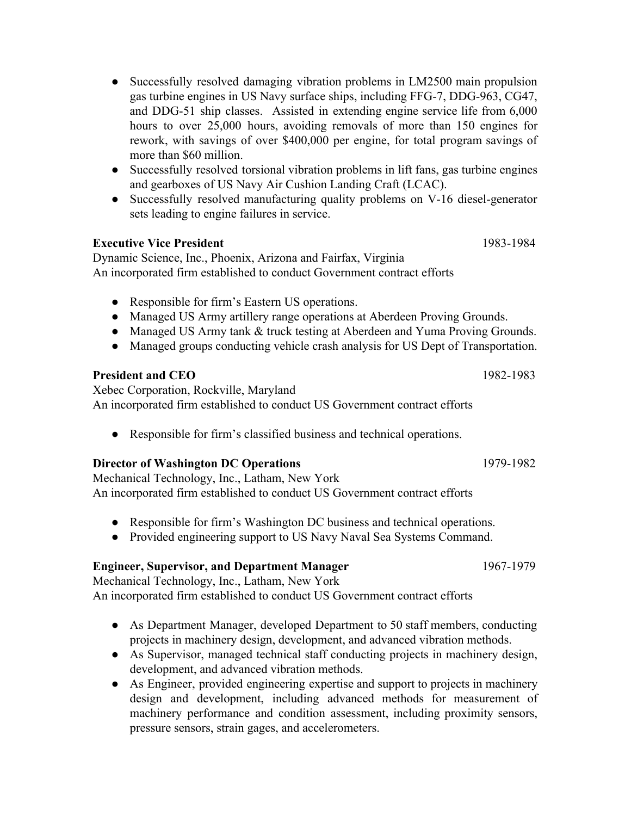- Successfully resolved damaging vibration problems in LM2500 main propulsion gas turbine engines in US Navy surface ships, including FFG-7, DDG-963, CG47, and DDG-51 ship classes. Assisted in extending engine service life from 6,000 hours to over 25,000 hours, avoiding removals of more than 150 engines for rework, with savings of over \$400,000 per engine, for total program savings of more than \$60 million.
- Successfully resolved torsional vibration problems in lift fans, gas turbine engines and gearboxes of US Navy Air Cushion Landing Craft (LCAC).
- Successfully resolved manufacturing quality problems on V-16 diesel-generator sets leading to engine failures in service.

#### **Executive Vice President** 1983-1984

Dynamic Science, Inc., Phoenix, Arizona and Fairfax, Virginia An incorporated firm established to conduct Government contract efforts

- Responsible for firm's Eastern US operations.
- Managed US Army artillery range operations at Aberdeen Proving Grounds.
- Managed US Army tank & truck testing at Aberdeen and Yuma Proving Grounds.
- Managed groups conducting vehicle crash analysis for US Dept of Transportation.

# **President and CEO** 1982-1983

Xebec Corporation, Rockville, Maryland An incorporated firm established to conduct US Government contract efforts

● Responsible for firm's classified business and technical operations.

#### **Director of Washington DC Operations** 1979-1982

Mechanical Technology, Inc., Latham, New York An incorporated firm established to conduct US Government contract efforts

- Responsible for firm's Washington DC business and technical operations.
- Provided engineering support to US Navy Naval Sea Systems Command.

# **Engineer, Supervisor, and Department Manager** 1967-1979

Mechanical Technology, Inc., Latham, New York An incorporated firm established to conduct US Government contract efforts

- As Department Manager, developed Department to 50 staff members, conducting projects in machinery design, development, and advanced vibration methods.
- As Supervisor, managed technical staff conducting projects in machinery design, development, and advanced vibration methods.
- As Engineer, provided engineering expertise and support to projects in machinery design and development, including advanced methods for measurement of machinery performance and condition assessment, including proximity sensors, pressure sensors, strain gages, and accelerometers.